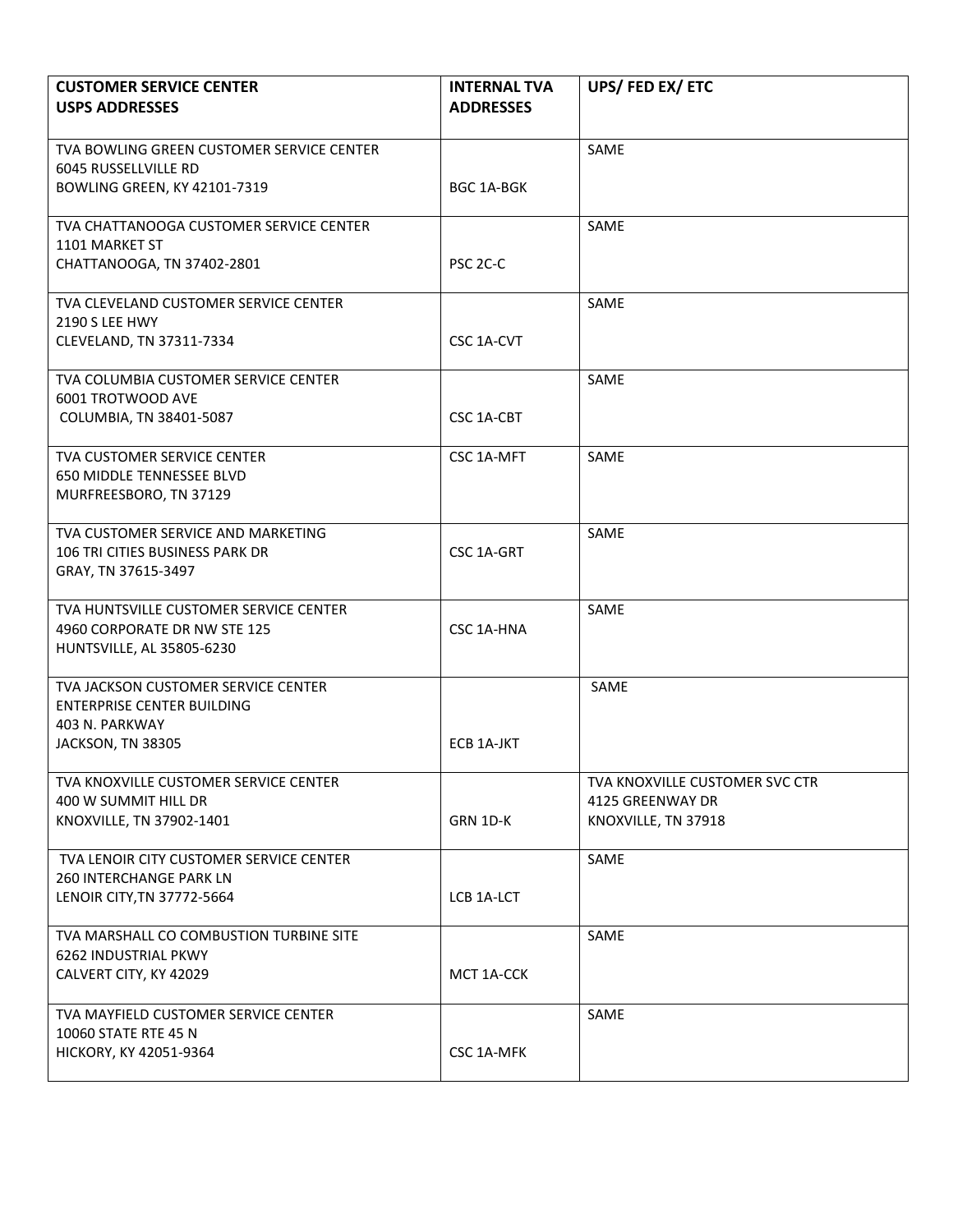| <b>CUSTOMER SERVICE CENTER</b><br><b>USPS ADDRESSES</b>                                                         | <b>INTERNAL TVA</b><br><b>ADDRESSES</b> | UPS/FED EX/ETC                                                            |
|-----------------------------------------------------------------------------------------------------------------|-----------------------------------------|---------------------------------------------------------------------------|
| TVA BOWLING GREEN CUSTOMER SERVICE CENTER<br>6045 RUSSELLVILLE RD<br><b>BOWLING GREEN, KY 42101-7319</b>        | BGC 1A-BGK                              | SAME                                                                      |
| TVA CHATTANOOGA CUSTOMER SERVICE CENTER<br>1101 MARKET ST<br>CHATTANOOGA, TN 37402-2801                         | PSC 2C-C                                | SAME                                                                      |
| TVA CLEVELAND CUSTOMER SERVICE CENTER<br><b>2190 S LEE HWY</b><br>CLEVELAND, TN 37311-7334                      | CSC 1A-CVT                              | SAME                                                                      |
| TVA COLUMBIA CUSTOMER SERVICE CENTER<br>6001 TROTWOOD AVE<br>COLUMBIA, TN 38401-5087                            | CSC 1A-CBT                              | SAME                                                                      |
| TVA CUSTOMER SERVICE CENTER<br>650 MIDDLE TENNESSEE BLVD<br>MURFREESBORO, TN 37129                              | CSC 1A-MFT                              | SAME                                                                      |
| TVA CUSTOMER SERVICE AND MARKETING<br>106 TRI CITIES BUSINESS PARK DR<br>GRAY, TN 37615-3497                    | CSC 1A-GRT                              | SAME                                                                      |
| TVA HUNTSVILLE CUSTOMER SERVICE CENTER<br>4960 CORPORATE DR NW STE 125<br>HUNTSVILLE, AL 35805-6230             | CSC 1A-HNA                              | SAME                                                                      |
| TVA JACKSON CUSTOMER SERVICE CENTER<br><b>ENTERPRISE CENTER BUILDING</b><br>403 N. PARKWAY<br>JACKSON, TN 38305 | ECB 1A-JKT                              | SAME                                                                      |
| TVA KNOXVILLE CUSTOMER SERVICE CENTER<br>400 W SUMMIT HILL DR<br>KNOXVILLE, TN 37902-1401                       | GRN 1D-K                                | TVA KNOXVILLE CUSTOMER SVC CTR<br>4125 GREENWAY DR<br>KNOXVILLE, TN 37918 |
| TVA LENOIR CITY CUSTOMER SERVICE CENTER<br>260 INTERCHANGE PARK LN<br>LENOIR CITY, TN 37772-5664                | LCB 1A-LCT                              | SAME                                                                      |
| TVA MARSHALL CO COMBUSTION TURBINE SITE<br>6262 INDUSTRIAL PKWY<br>CALVERT CITY, KY 42029                       | MCT 1A-CCK                              | SAME                                                                      |
| TVA MAYFIELD CUSTOMER SERVICE CENTER<br>10060 STATE RTE 45 N<br>HICKORY, KY 42051-9364                          | CSC 1A-MFK                              | SAME                                                                      |